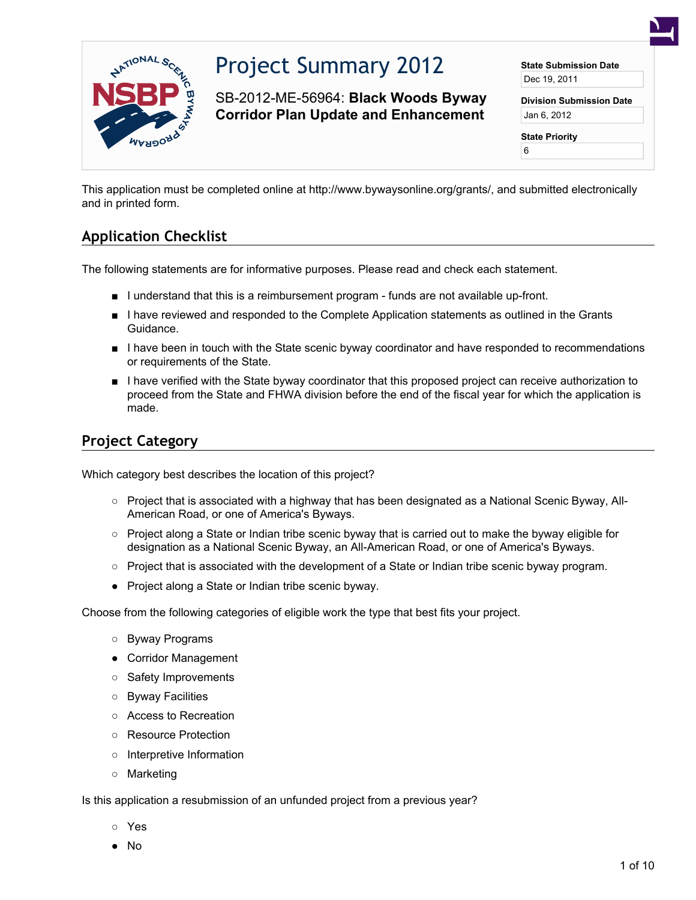

# Project Summary 2012

SB-2012-ME-56964: **Black Woods Byway Corridor Plan Update and Enhancement**

**State Submission Date** Dec 19, 2011

**Division Submission Date** Jan 6, 2012

**State Priority**

6

This application must be completed online at http://www.bywaysonline.org/grants/, and submitted electronically and in printed form.

# **Application Checklist**

The following statements are for informative purposes. Please read and check each statement.

- I understand that this is a reimbursement program funds are not available up-front.
- I have reviewed and responded to the Complete Application statements as outlined in the Grants Guidance.
- I have been in touch with the State scenic byway coordinator and have responded to recommendations or requirements of the State.
- I have verified with the State byway coordinator that this proposed project can receive authorization to proceed from the State and FHWA division before the end of the fiscal year for which the application is made.

# **Project Category**

Which category best describes the location of this project?

- Project that is associated with a highway that has been designated as a National Scenic Byway, All-American Road, or one of America's Byways.
- Project along a State or Indian tribe scenic byway that is carried out to make the byway eligible for designation as a National Scenic Byway, an All-American Road, or one of America's Byways.
- Project that is associated with the development of a State or Indian tribe scenic byway program.
- Project along a State or Indian tribe scenic byway.

Choose from the following categories of eligible work the type that best fits your project.

- Byway Programs
- Corridor Management
- Safety Improvements
- Byway Facilities
- Access to Recreation
- Resource Protection
- Interpretive Information
- Marketing

Is this application a resubmission of an unfunded project from a previous year?

- Yes
- No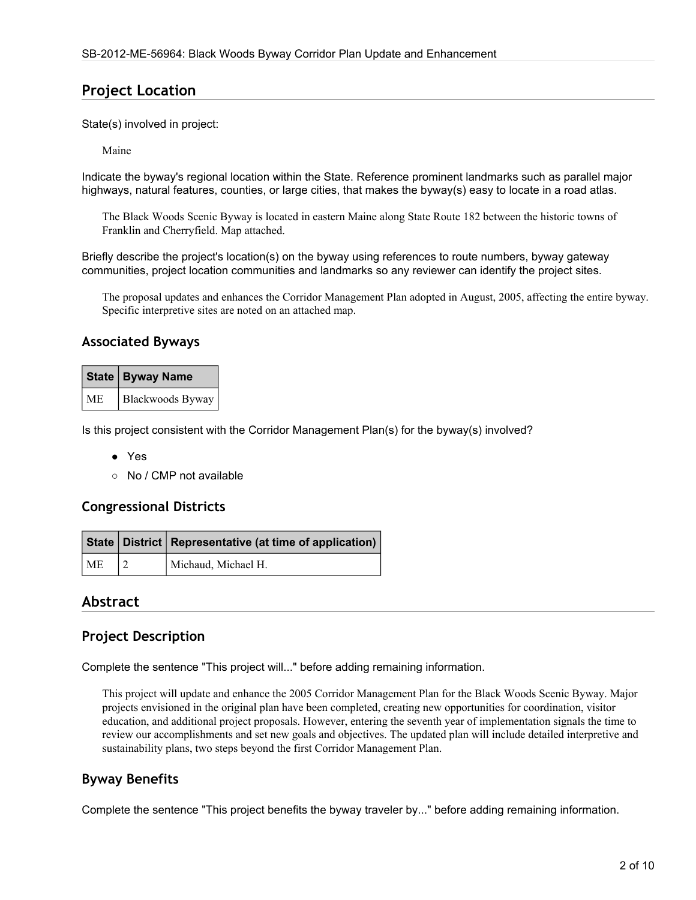### **Project Location**

State(s) involved in project:

Maine

Indicate the byway's regional location within the State. Reference prominent landmarks such as parallel major highways, natural features, counties, or large cities, that makes the byway(s) easy to locate in a road atlas.

The Black Woods Scenic Byway is located in eastern Maine along State Route 182 between the historic towns of Franklin and Cherryfield. Map attached.

Briefly describe the project's location(s) on the byway using references to route numbers, byway gateway communities, project location communities and landmarks so any reviewer can identify the project sites.

The proposal updates and enhances the Corridor Management Plan adopted in August, 2005, affecting the entire byway. Specific interpretive sites are noted on an attached map.

#### **Associated Byways**

|           | State   Byway Name |
|-----------|--------------------|
| <b>ME</b> | Blackwoods Byway   |

Is this project consistent with the Corridor Management Plan(s) for the byway(s) involved?

- Yes
- No / CMP not available

#### **Congressional Districts**

|    | State   District   Representative (at time of application) |
|----|------------------------------------------------------------|
| ME | Michaud, Michael H.                                        |

#### **Abstract**

#### **Project Description**

Complete the sentence "This project will..." before adding remaining information.

This project will update and enhance the 2005 Corridor Management Plan for the Black Woods Scenic Byway. Major projects envisioned in the original plan have been completed, creating new opportunities for coordination, visitor education, and additional project proposals. However, entering the seventh year of implementation signals the time to review our accomplishments and set new goals and objectives. The updated plan will include detailed interpretive and sustainability plans, two steps beyond the first Corridor Management Plan.

#### **Byway Benefits**

Complete the sentence "This project benefits the byway traveler by..." before adding remaining information.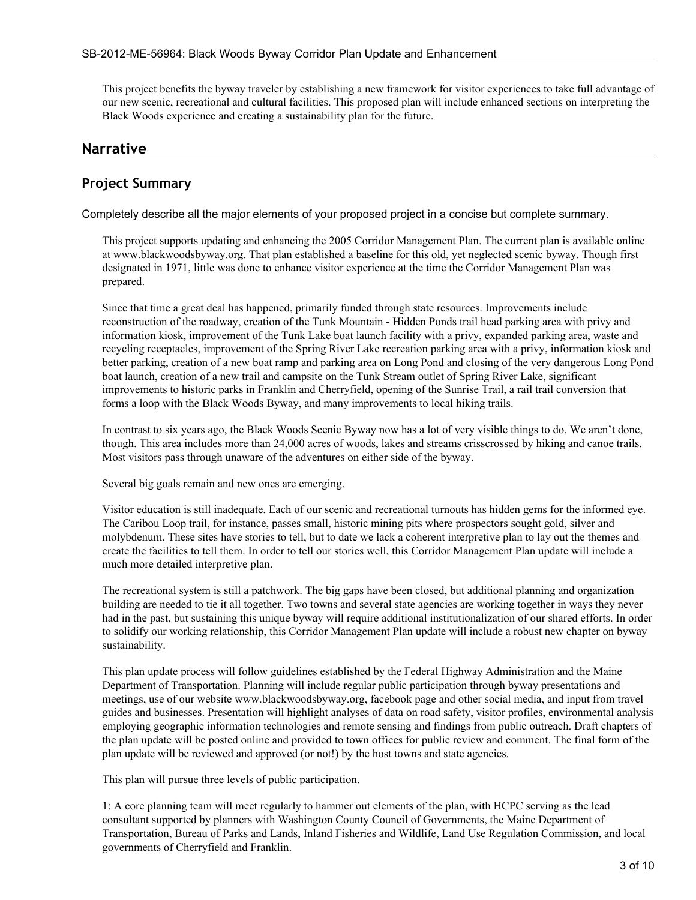This project benefits the byway traveler by establishing a new framework for visitor experiences to take full advantage of our new scenic, recreational and cultural facilities. This proposed plan will include enhanced sections on interpreting the Black Woods experience and creating a sustainability plan for the future.

#### **Narrative**

#### **Project Summary**

Completely describe all the major elements of your proposed project in a concise but complete summary.

This project supports updating and enhancing the 2005 Corridor Management Plan. The current plan is available online at www.blackwoodsbyway.org. That plan established a baseline for this old, yet neglected scenic byway. Though first designated in 1971, little was done to enhance visitor experience at the time the Corridor Management Plan was prepared.

Since that time a great deal has happened, primarily funded through state resources. Improvements include reconstruction of the roadway, creation of the Tunk Mountain - Hidden Ponds trail head parking area with privy and information kiosk, improvement of the Tunk Lake boat launch facility with a privy, expanded parking area, waste and recycling receptacles, improvement of the Spring River Lake recreation parking area with a privy, information kiosk and better parking, creation of a new boat ramp and parking area on Long Pond and closing of the very dangerous Long Pond boat launch, creation of a new trail and campsite on the Tunk Stream outlet of Spring River Lake, significant improvements to historic parks in Franklin and Cherryfield, opening of the Sunrise Trail, a rail trail conversion that forms a loop with the Black Woods Byway, and many improvements to local hiking trails.

In contrast to six years ago, the Black Woods Scenic Byway now has a lot of very visible things to do. We aren't done, though. This area includes more than 24,000 acres of woods, lakes and streams crisscrossed by hiking and canoe trails. Most visitors pass through unaware of the adventures on either side of the byway.

Several big goals remain and new ones are emerging.

Visitor education is still inadequate. Each of our scenic and recreational turnouts has hidden gems for the informed eye. The Caribou Loop trail, for instance, passes small, historic mining pits where prospectors sought gold, silver and molybdenum. These sites have stories to tell, but to date we lack a coherent interpretive plan to lay out the themes and create the facilities to tell them. In order to tell our stories well, this Corridor Management Plan update will include a much more detailed interpretive plan.

The recreational system is still a patchwork. The big gaps have been closed, but additional planning and organization building are needed to tie it all together. Two towns and several state agencies are working together in ways they never had in the past, but sustaining this unique byway will require additional institutionalization of our shared efforts. In order to solidify our working relationship, this Corridor Management Plan update will include a robust new chapter on byway sustainability.

This plan update process will follow guidelines established by the Federal Highway Administration and the Maine Department of Transportation. Planning will include regular public participation through byway presentations and meetings, use of our website www.blackwoodsbyway.org, facebook page and other social media, and input from travel guides and businesses. Presentation will highlight analyses of data on road safety, visitor profiles, environmental analysis employing geographic information technologies and remote sensing and findings from public outreach. Draft chapters of the plan update will be posted online and provided to town offices for public review and comment. The final form of the plan update will be reviewed and approved (or not!) by the host towns and state agencies.

This plan will pursue three levels of public participation.

1: A core planning team will meet regularly to hammer out elements of the plan, with HCPC serving as the lead consultant supported by planners with Washington County Council of Governments, the Maine Department of Transportation, Bureau of Parks and Lands, Inland Fisheries and Wildlife, Land Use Regulation Commission, and local governments of Cherryfield and Franklin.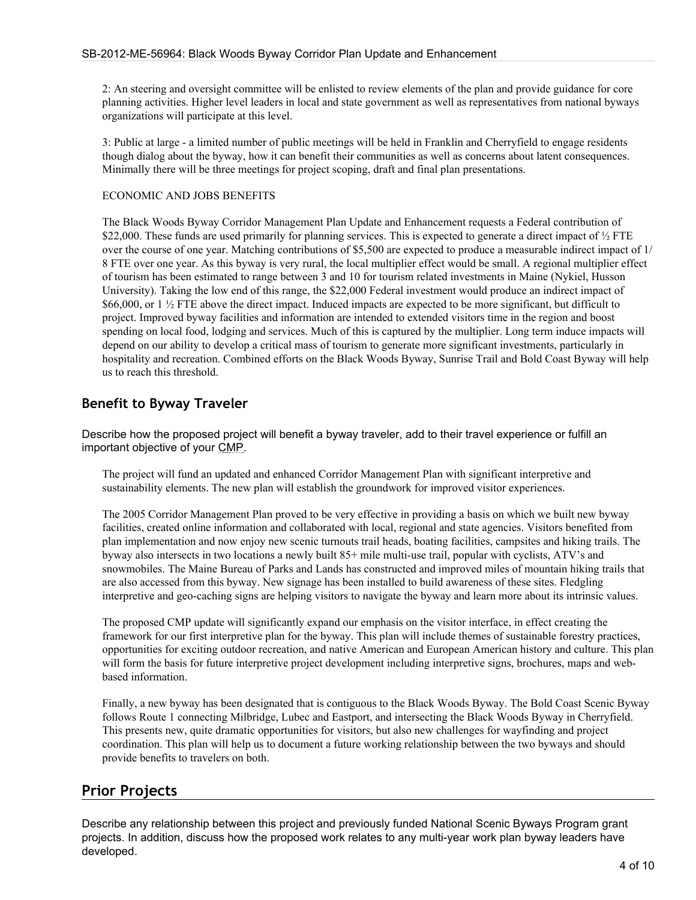2: An steering and oversight committee will be enlisted to review elements of the plan and provide guidance for core planning activities. Higher level leaders in local and state government as well as representatives from national byways organizations will participate at this level.

3: Public at large - a limited number of public meetings will be held in Franklin and Cherryfield to engage residents though dialog about the byway, how it can benefit their communities as well as concerns about latent consequences. Minimally there will be three meetings for project scoping, draft and final plan presentations.

#### ECONOMIC AND JOBS BENEFITS

The Black Woods Byway Corridor Management Plan Update and Enhancement requests a Federal contribution of \$22,000. These funds are used primarily for planning services. This is expected to generate a direct impact of  $\frac{1}{2}$  FTE over the course of one year. Matching contributions of \$5,500 are expected to produce a measurable indirect impact of 1/ 8 FTE over one year. As this byway is very rural, the local multiplier effect would be small. A regional multiplier effect of tourism has been estimated to range between 3 and 10 for tourism related investments in Maine (Nykiel, Husson University). Taking the low end of this range, the \$22,000 Federal investment would produce an indirect impact of \$66,000, or 1  $\frac{1}{2}$  FTE above the direct impact. Induced impacts are expected to be more significant, but difficult to project. Improved byway facilities and information are intended to extended visitors time in the region and boost spending on local food, lodging and services. Much of this is captured by the multiplier. Long term induce impacts will depend on our ability to develop a critical mass of tourism to generate more significant investments, particularly in hospitality and recreation. Combined efforts on the Black Woods Byway, Sunrise Trail and Bold Coast Byway will help us to reach this threshold.

### **Benefit to Byway Traveler**

Describe how the proposed project will benefit a byway traveler, add to their travel experience or fulfill an important objective of your CMP.

The project will fund an updated and enhanced Corridor Management Plan with significant interpretive and sustainability elements. The new plan will establish the groundwork for improved visitor experiences.

The 2005 Corridor Management Plan proved to be very effective in providing a basis on which we built new byway facilities, created online information and collaborated with local, regional and state agencies. Visitors benefited from plan implementation and now enjoy new scenic turnouts trail heads, boating facilities, campsites and hiking trails. The byway also intersects in two locations a newly built 85+ mile multi-use trail, popular with cyclists, ATV's and snowmobiles. The Maine Bureau of Parks and Lands has constructed and improved miles of mountain hiking trails that are also accessed from this byway. New signage has been installed to build awareness of these sites. Fledgling interpretive and geo-caching signs are helping visitors to navigate the byway and learn more about its intrinsic values.

The proposed CMP update will significantly expand our emphasis on the visitor interface, in effect creating the framework for our first interpretive plan for the byway. This plan will include themes of sustainable forestry practices, opportunities for exciting outdoor recreation, and native American and European American history and culture. This plan will form the basis for future interpretive project development including interpretive signs, brochures, maps and webbased information.

Finally, a new byway has been designated that is contiguous to the Black Woods Byway. The Bold Coast Scenic Byway follows Route 1 connecting Milbridge, Lubec and Eastport, and intersecting the Black Woods Byway in Cherryfield. This presents new, quite dramatic opportunities for visitors, but also new challenges for wayfinding and project coordination. This plan will help us to document a future working relationship between the two byways and should provide benefits to travelers on both.

# **Prior Projects**

Describe any relationship between this project and previously funded National Scenic Byways Program grant projects. In addition, discuss how the proposed work relates to any multi-year work plan byway leaders have developed.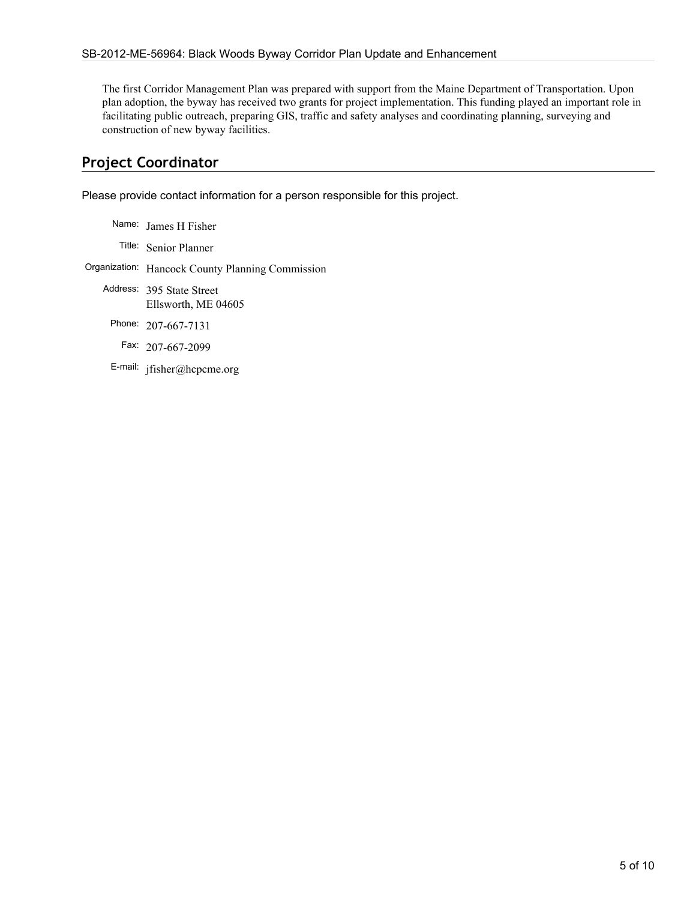The first Corridor Management Plan was prepared with support from the Maine Department of Transportation. Upon plan adoption, the byway has received two grants for project implementation. This funding played an important role in facilitating public outreach, preparing GIS, traffic and safety analyses and coordinating planning, surveying and construction of new byway facilities.

# **Project Coordinator**

Please provide contact information for a person responsible for this project.

| Name: James H Fisher                             |
|--------------------------------------------------|
| Title: Senior Planner                            |
| Organization: Hancock County Planning Commission |
| Address: 395 State Street<br>Ellsworth, ME 04605 |
| Phone: 207-667-7131                              |
| Fax: 207-667-2099                                |
| E-mail: jfisher@hcpcme.org                       |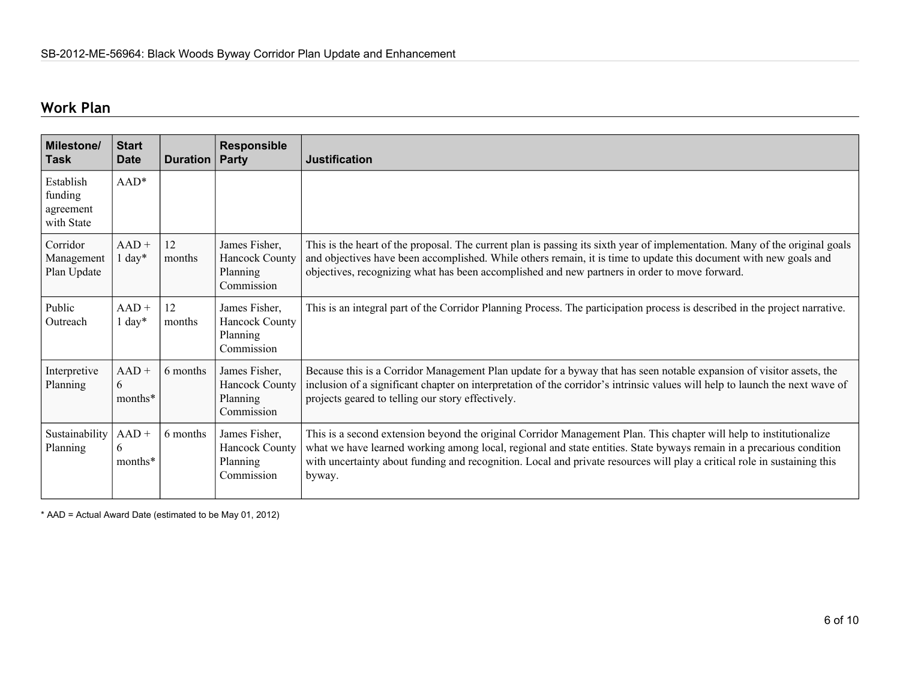# **Work Plan**

| <b>Milestone/</b><br><b>Task</b>                | <b>Start</b><br><b>Date</b> | <b>Duration   Party</b> | Responsible                                                      | <b>Justification</b>                                                                                                                                                                                                                                                                                                                                                              |
|-------------------------------------------------|-----------------------------|-------------------------|------------------------------------------------------------------|-----------------------------------------------------------------------------------------------------------------------------------------------------------------------------------------------------------------------------------------------------------------------------------------------------------------------------------------------------------------------------------|
| Establish<br>funding<br>agreement<br>with State | $AAD*$                      |                         |                                                                  |                                                                                                                                                                                                                                                                                                                                                                                   |
| Corridor<br>Management<br>Plan Update           | $AAD +$<br>$1 day*$         | 12<br>months            | James Fisher,<br><b>Hancock County</b><br>Planning<br>Commission | This is the heart of the proposal. The current plan is passing its sixth year of implementation. Many of the original goals<br>and objectives have been accomplished. While others remain, it is time to update this document with new goals and<br>objectives, recognizing what has been accomplished and new partners in order to move forward.                                 |
| Public<br>Outreach                              | $AAD +$<br>$1 \text{ day*}$ | 12<br>months            | James Fisher,<br>Hancock County<br>Planning<br>Commission        | This is an integral part of the Corridor Planning Process. The participation process is described in the project narrative.                                                                                                                                                                                                                                                       |
| Interpretive<br>Planning                        | $AAD +$<br>6<br>months*     | 6 months                | James Fisher,<br><b>Hancock County</b><br>Planning<br>Commission | Because this is a Corridor Management Plan update for a byway that has seen notable expansion of visitor assets, the<br>inclusion of a significant chapter on interpretation of the corridor's intrinsic values will help to launch the next wave of<br>projects geared to telling our story effectively.                                                                         |
| Sustainability<br>Planning                      | $AAD +$<br>6<br>months*     | 6 months                | James Fisher,<br><b>Hancock County</b><br>Planning<br>Commission | This is a second extension beyond the original Corridor Management Plan. This chapter will help to institutionalize<br>what we have learned working among local, regional and state entities. State byways remain in a precarious condition<br>with uncertainty about funding and recognition. Local and private resources will play a critical role in sustaining this<br>byway. |

\* AAD = Actual Award Date (estimated to be May 01, 2012)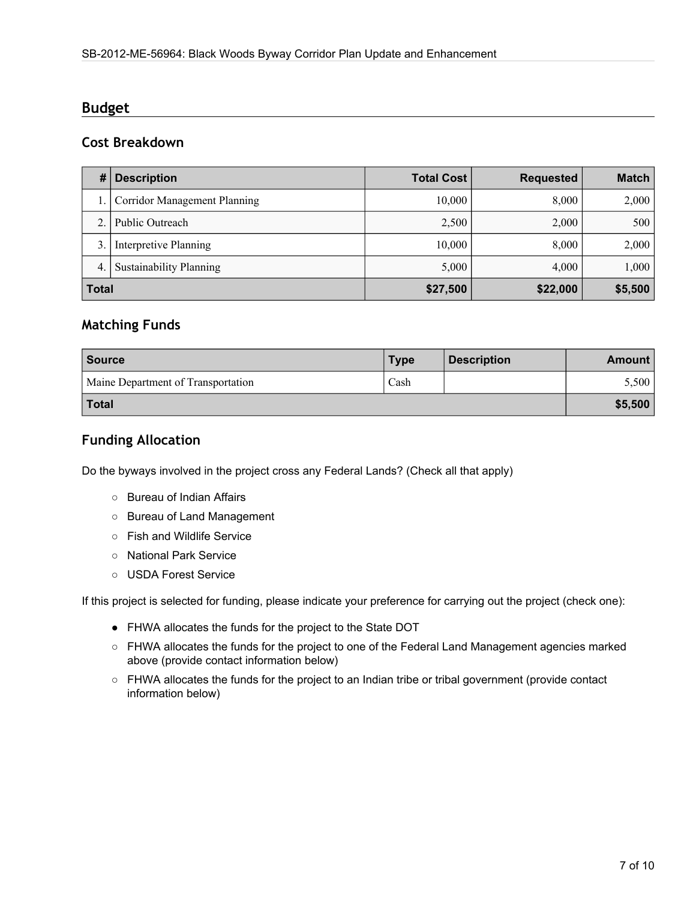### **Budget**

### **Cost Breakdown**

| #            | <b>Description</b>                  | <b>Total Cost</b> | <b>Requested</b> | <b>Match</b> |
|--------------|-------------------------------------|-------------------|------------------|--------------|
|              | <b>Corridor Management Planning</b> | 10,000            | 8,000            | 2,000        |
|              | Public Outreach                     | 2,500             | 2,000            | 500          |
| 3.           | Interpretive Planning               | 10,000            | 8,000            | 2,000        |
| 4.           | <b>Sustainability Planning</b>      | 5,000             | 4,000            | 1,000        |
| <b>Total</b> |                                     | \$27,500          | \$22,000         | \$5,500      |

### **Matching Funds**

| <b>Source</b>                      | <b>Type</b> | <b>Description</b> | <b>Amount</b> |
|------------------------------------|-------------|--------------------|---------------|
| Maine Department of Transportation | Cash        |                    | 5,500         |
| Total                              |             |                    | \$5,500       |

### **Funding Allocation**

Do the byways involved in the project cross any Federal Lands? (Check all that apply)

- Bureau of Indian Affairs
- Bureau of Land Management
- Fish and Wildlife Service
- National Park Service
- USDA Forest Service

If this project is selected for funding, please indicate your preference for carrying out the project (check one):

- FHWA allocates the funds for the project to the State DOT
- FHWA allocates the funds for the project to one of the Federal Land Management agencies marked above (provide contact information below)
- FHWA allocates the funds for the project to an Indian tribe or tribal government (provide contact information below)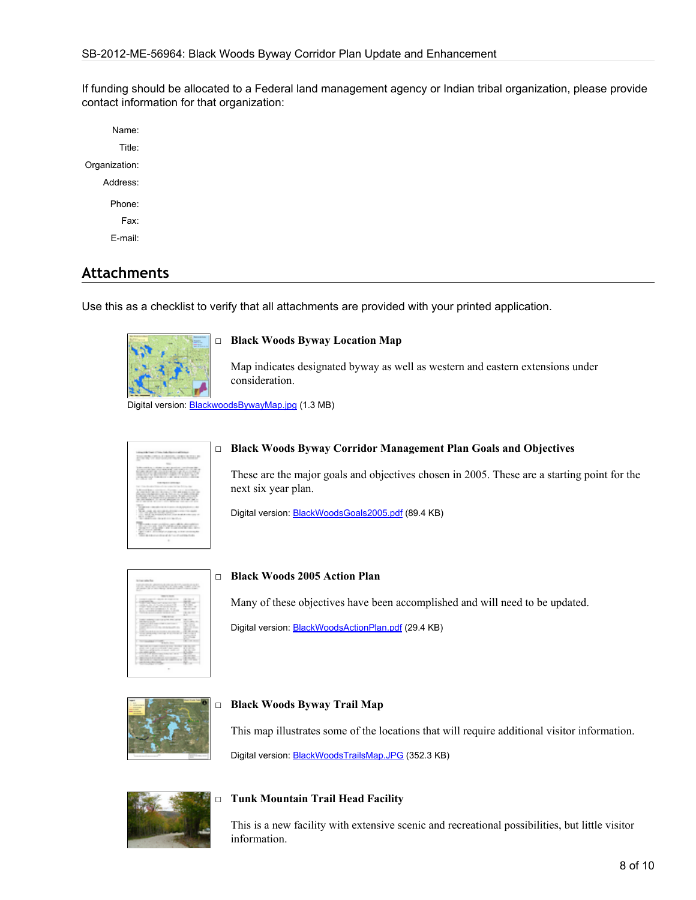If funding should be allocated to a Federal land management agency or Indian tribal organization, please provide contact information for that organization:

Name: Title: Organization: Address: Phone: Fax: E-mail:

# **Attachments**

Use this as a checklist to verify that all attachments are provided with your printed application.



#### □ **Black Woods Byway Location Map**

Map indicates designated byway as well as western and eastern extensions under consideration.

Digital version: **[BlackwoodsBywayMap.jpg](http://bywaysonline.org/grants/application/attachments/20799_b5y0tr6fz7.jpg)** (1.3 MB)



#### □ **Black Woods Byway Corridor Management Plan Goals and Objectives**

These are the major goals and objectives chosen in 2005. These are a starting point for the next six year plan.

Digital version: [BlackWoodsGoals2005.pdf](http://bywaysonline.org/grants/application/attachments/20807_zh0lr8ae06.pdf) (89.4 KB)

| with the control of the control to the<br>$\cdots$                                                 |                                                  |
|----------------------------------------------------------------------------------------------------|--------------------------------------------------|
| all principal and will be a simple to the state of the party                                       | <b>CARD AT ANY</b>                               |
|                                                                                                    |                                                  |
| March 1974                                                                                         |                                                  |
| h.<br>÷<br>-                                                                                       | <b>CALL AND A</b><br>۰                           |
| <br>٠                                                                                              |                                                  |
| وحدودهم                                                                                            | w<br>                                            |
| THE R. P. LEWIS CO., LANSING MICH.<br>Constitute of London Company<br>٠<br>-                       | --                                               |
| ----<br>٠                                                                                          |                                                  |
|                                                                                                    |                                                  |
| b<br><b>CARD CARD</b>                                                                              | <b>CALL CALL</b>                                 |
| and the court and the<br>b<br>the control with the                                                 | <b>STATISTICS</b>                                |
| agman<br>ı                                                                                         | ÷<br>۷                                           |
|                                                                                                    | ٠                                                |
| <b>CONTINUES IN A SERVICE</b><br>the second company to the company of the second                   | ٠<br><br>--                                      |
| ----                                                                                               | $\frac{1}{2}$<br>$\sim$                          |
|                                                                                                    | ı                                                |
| ۰<br><b>WITH SECRETS</b><br>۰<br><b>With College College</b>                                       | THE R. P.<br>$\sim$                              |
| and the second company of the first state                                                          | $\sim$<br>--                                     |
| strike that is and in constrainty company and<br>ı<br>the control of the second state and with the | <br>--<br>٠<br>٠                                 |
| and the party                                                                                      | m                                                |
| contributed and provided                                                                           | ۰<br>and count manager                           |
| and the property of the party of the property<br>۹<br><b>By a firm of the country</b>              | <b>State Address</b><br>$\rightarrow$<br>÷<br>-- |
| an interest products.                                                                              |                                                  |
| ____                                                                                               |                                                  |

#### □ **Black Woods 2005 Action Plan**

Many of these objectives have been accomplished and will need to be updated.

Digital version: [BlackWoodsActionPlan.pdf](http://bywaysonline.org/grants/application/attachments/20806_2rmkrlj505.pdf) (29.4 KB)



#### □ **Black Woods Byway Trail Map**

This map illustrates some of the locations that will require additional visitor information.

Digital version: [BlackWoodsTrailsMap.JPG](http://bywaysonline.org/grants/application/attachments/20803_4h4q7uu7t4.JPG) (352.3 KB)



#### □ **Tunk Mountain Trail Head Facility**

This is a new facility with extensive scenic and recreational possibilities, but little visitor information.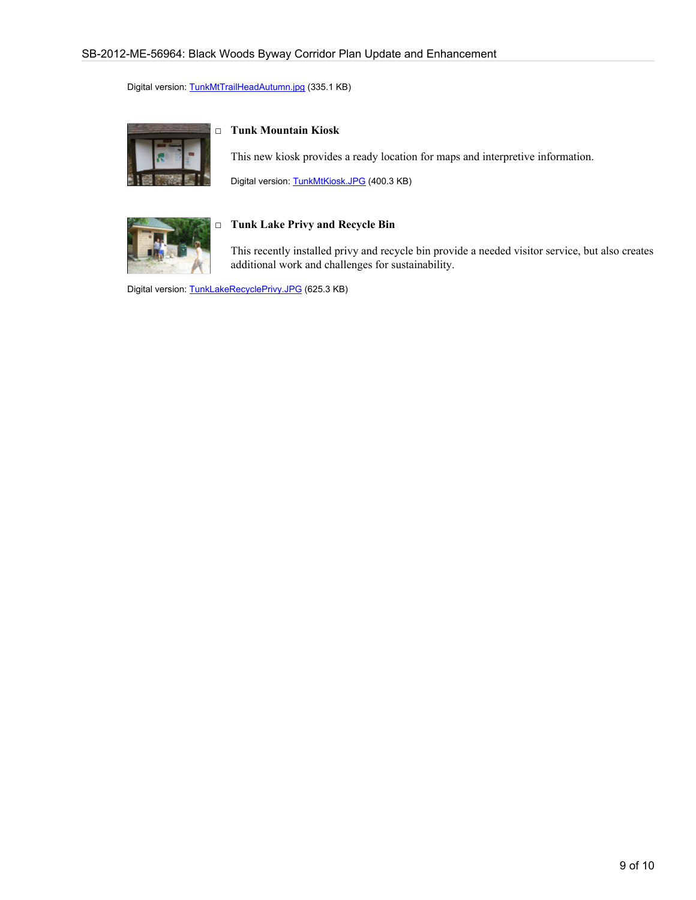Digital version: [TunkMtTrailHeadAutumn.jpg](http://bywaysonline.org/grants/application/attachments/20804_r587cq82kw.jpg) (335.1 KB)



#### □ **Tunk Mountain Kiosk**

This new kiosk provides a ready location for maps and interpretive information.

Digital version: [TunkMtKiosk.JPG](http://bywaysonline.org/grants/application/attachments/20805_2e4zz6hmkd.JPG) (400.3 KB)



#### □ **Tunk Lake Privy and Recycle Bin**

This recently installed privy and recycle bin provide a needed visitor service, but also creates additional work and challenges for sustainability.

Digital version: [TunkLakeRecyclePrivy.JPG](http://bywaysonline.org/grants/application/attachments/20808_kqncmpkakx.JPG) (625.3 KB)